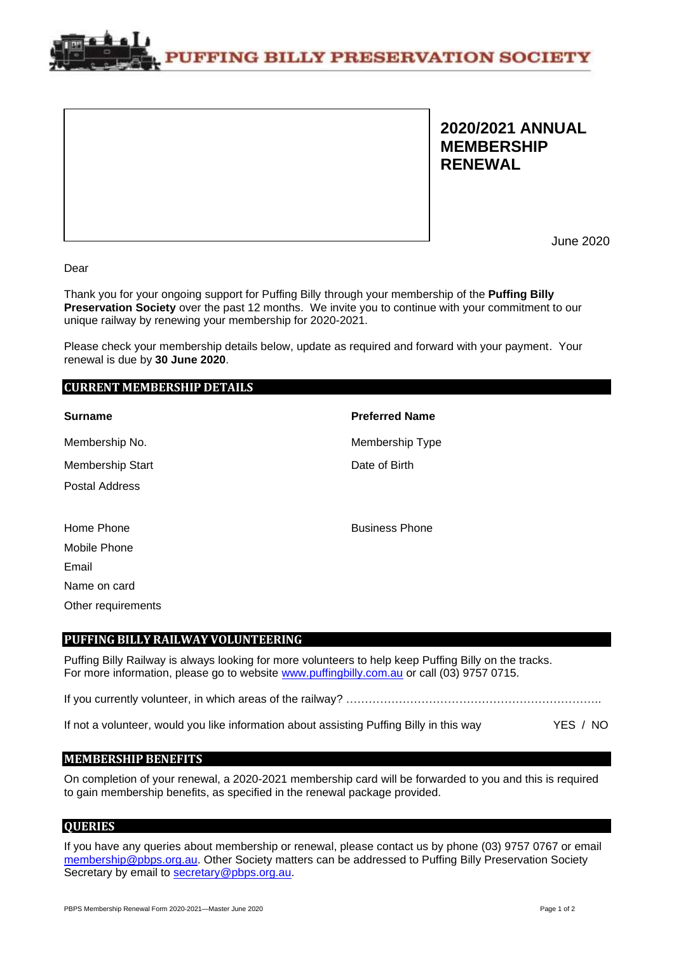**PUFFING BILLY PRESERVATION SOCIETY** 

## **2020/2021 ANNUAL MEMBERSHIP RENEWAL**

June 2020

Dear

Thank you for your ongoing support for Puffing Billy through your membership of the **Puffing Billy Preservation Society** over the past 12 months. We invite you to continue with your commitment to our unique railway by renewing your membership for 2020-2021.

Please check your membership details below, update as required and forward with your payment. Your renewal is due by **30 June 2020**.

### **CURRENT MEMBERSHIP DETAILS**

| <b>Surname</b>     | <b>Preferred Name</b> |
|--------------------|-----------------------|
| Membership No.     | Membership Type       |
| Membership Start   | Date of Birth         |
| Postal Address     |                       |
|                    |                       |
| Home Phone         | <b>Business Phone</b> |
| Mobile Phone       |                       |
| Email              |                       |
| Name on card       |                       |
| Other requirements |                       |

### **PUFFING BILLY RAILWAY VOLUNTEERING**

Puffing Billy Railway is always looking for more volunteers to help keep Puffing Billy on the tracks. For more information, please go to website [www.puffingbilly.com.au](http://www.puffingbilly.com.au/) or call (03) 9757 0715.

If you currently volunteer, in which areas of the railway? …………………………………………………………..

If not a volunteer, would you like information about assisting Puffing Billy in this way YES / NO

### **MEMBERSHIP BENEFITS**

On completion of your renewal, a 2020-2021 membership card will be forwarded to you and this is required to gain membership benefits, as specified in the renewal package provided.

### **QUERIES**

If you have any queries about membership or renewal, please contact us by phone (03) 9757 0767 or email [membership@pbps.org.au.](mailto:membership@pbps.org.au) Other Society matters can be addressed to Puffing Billy Preservation Society Secretary by email to [secretary@pbps.org.au.](mailto:secretary@pbps.org.au)